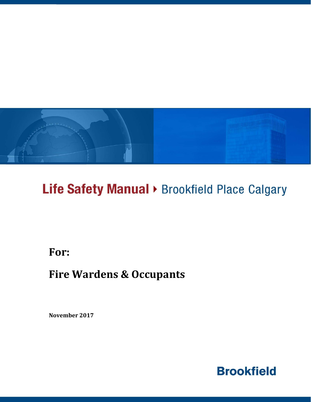

Life Safety Manual > Brookfield Place Calgary

**For:**

# **Fire Wardens & Occupants**

**November 2017**

**Brookfield**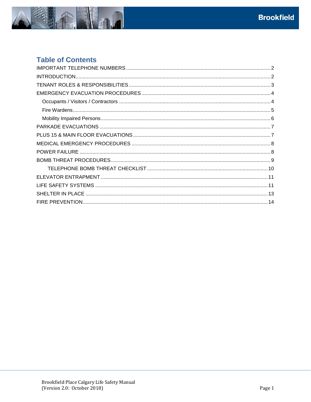

# **Table of Contents**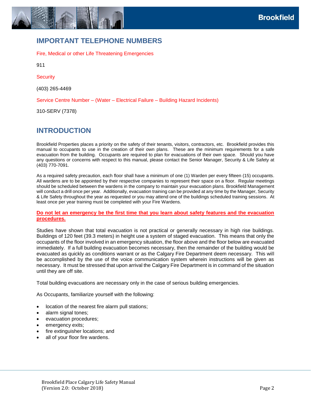

### <span id="page-2-0"></span>**IMPORTANT TELEPHONE NUMBERS**

Fire, Medical or other Life Threatening Emergencies

911

**Security** 

(403) 265-4469

Service Centre Number – (Water – Electrical Failure – Building Hazard Incidents)

<span id="page-2-1"></span>310-SERV (7378)

# **INTRODUCTION**

Brookfield Properties places a priority on the safety of their tenants, visitors, contractors, etc. Brookfield provides this manual to occupants to use in the creation of their own plans. These are the minimum requirements for a safe evacuation from the building. Occupants are required to plan for evacuations of their own space. Should you have any questions or concerns with respect to this manual, please contact the Senior Manager, Security & Life Safety at (403) 770-7091.

As a required safety precaution, each floor shall have a minimum of one (1) Warden per every fifteen (15) occupants. All wardens are to be appointed by their respective companies to represent their space on a floor. Regular meetings should be scheduled between the wardens in the company to maintain your evacuation plans. Brookfield Management will conduct a drill once per year. Additionally, evacuation training can be provided at any time by the Manager, Security & Life Safety throughout the year as requested or you may attend one of the buildings scheduled training sessions. At least once per year training must be completed with your Fire Wardens.

#### **Do not let an emergency be the first time that you learn about safety features and the evacuation procedures.**

Studies have shown that total evacuation is not practical or generally necessary in high rise buildings. Buildings of 120 feet (39.3 meters) in height use a system of staged evacuation. This means that only the occupants of the floor involved in an emergency situation, the floor above and the floor below are evacuated immediately. If a full building evacuation becomes necessary, then the remainder of the building would be evacuated as quickly as conditions warrant or as the Calgary Fire Department deem necessary. This will be accomplished by the use of the voice communication system wherein instructions will be given as necessary. It must be stressed that upon arrival the Calgary Fire Department is in command of the situation until they are off site.

Total building evacuations are necessary only in the case of serious building emergencies.

As Occupants, familiarize yourself with the following:

- location of the nearest fire alarm pull stations;
- alarm signal tones;
- evacuation procedures;
- emergency exits;
- fire extinguisher locations; and
- all of your floor fire wardens.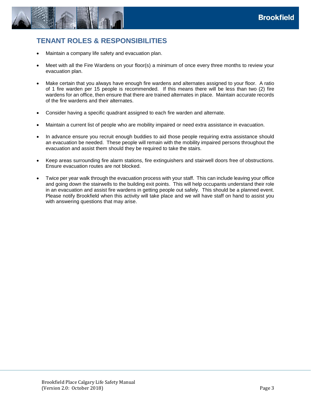

# <span id="page-3-0"></span>**TENANT ROLES & RESPONSIBILITIES**

- Maintain a company life safety and evacuation plan.
- Meet with all the Fire Wardens on your floor(s) a minimum of once every three months to review your evacuation plan.
- Make certain that you always have enough fire wardens and alternates assigned to your floor. A ratio of 1 fire warden per 15 people is recommended. If this means there will be less than two (2) fire wardens for an office, then ensure that there are trained alternates in place. Maintain accurate records of the fire wardens and their alternates.
- Consider having a specific quadrant assigned to each fire warden and alternate.
- Maintain a current list of people who are mobility impaired or need extra assistance in evacuation.
- In advance ensure you recruit enough buddies to aid those people requiring extra assistance should an evacuation be needed. These people will remain with the mobility impaired persons throughout the evacuation and assist them should they be required to take the stairs.
- Keep areas surrounding fire alarm stations, fire extinguishers and stairwell doors free of obstructions. Ensure evacuation routes are not blocked.
- Twice per year walk through the evacuation process with your staff. This can include leaving your office and going down the stairwells to the building exit points. This will help occupants understand their role in an evacuation and assist fire wardens in getting people out safely. This should be a planned event. Please notify Brookfield when this activity will take place and we will have staff on hand to assist you with answering questions that may arise.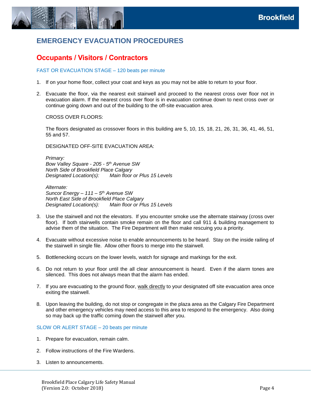

# <span id="page-4-0"></span>**EMERGENCY EVACUATION PROCEDURES**

### <span id="page-4-1"></span>**Occupants / Visitors / Contractors**

#### FAST OR EVACUATION STAGE – 120 beats per minute

- 1. If on your home floor, collect your coat and keys as you may not be able to return to your floor.
- 2. Evacuate the floor, via the nearest exit stairwell and proceed to the nearest cross over floor not in evacuation alarm. If the nearest cross over floor is in evacuation continue down to next cross over or continue going down and out of the building to the off-site evacuation area.

#### CROSS OVER FLOORS:

The floors designated as crossover floors in this building are 5, 10, 15, 18, 21, 26, 31, 36, 41, 46, 51, 55 and 57.

#### DESIGNATED OFF-SITE EVACUATION AREA:

*Primary: Bow Valley Square - 205 - 5 th Avenue SW North Side of Brookfield Place Calgary Designated Location(s): Main floor or Plus 15 Levels*

*Alternate: Suncor Energy – 111 – 5 th Avenue SW North East Side of Brookfield Place Calgary Designated Location(s): Main floor or Plus 15 Levels*

- 3. Use the stairwell and not the elevators. If you encounter smoke use the alternate stairway (cross over floor). If both stairwells contain smoke remain on the floor and call 911 & building management to advise them of the situation. The Fire Department will then make rescuing you a priority.
- 4. Evacuate without excessive noise to enable announcements to be heard. Stay on the inside railing of the stairwell in single file. Allow other floors to merge into the stairwell.
- 5. Bottlenecking occurs on the lower levels, watch for signage and markings for the exit.
- 6. Do not return to your floor until the all clear announcement is heard. Even if the alarm tones are silenced. This does not always mean that the alarm has ended.
- 7. If you are evacuating to the ground floor, walk directly to your designated off site evacuation area once exiting the stairwell.
- 8. Upon leaving the building, do not stop or congregate in the plaza area as the Calgary Fire Department and other emergency vehicles may need access to this area to respond to the emergency. Also doing so may back up the traffic coming down the stairwell after you.

#### SLOW OR ALERT STAGE – 20 beats per minute

- 1. Prepare for evacuation, remain calm.
- 2. Follow instructions of the Fire Wardens.
- 3. Listen to announcements.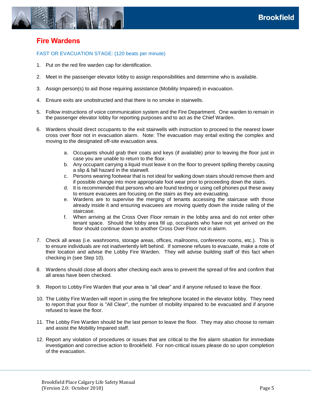

### <span id="page-5-0"></span>**Fire Wardens**

#### FAST OR EVACUATION STAGE: (120 beats per minute)

- 1. Put on the red fire warden cap for identification.
- 2. Meet in the passenger elevator lobby to assign responsibilities and determine who is available.
- 3. Assign person(s) to aid those requiring assistance (Mobility Impaired) in evacuation.
- 4. Ensure exits are unobstructed and that there is no smoke in stairwells.
- 5. Follow instructions of voice communication system and the Fire Department. One warden to remain in the passenger elevator lobby for reporting purposes and to act as the Chief Warden.
- 6. Wardens should direct occupants to the exit stairwells with instruction to proceed to the nearest lower cross over floor not in evacuation alarm. Note: The evacuation may entail exiting the complex and moving to the designated off-site evacuation area.
	- a. Occupants should grab their coats and keys (if available) prior to leaving the floor just in case you are unable to return to the floor.
	- b. Any occupant carrying a liquid must leave it on the floor to prevent spilling thereby causing a slip & fall hazard in the stairwell.
	- c. Persons wearing footwear that is not ideal for walking down stairs should remove them and if possible change into more appropriate foot wear prior to proceeding down the stairs.
	- d. It is recommended that persons who are found texting or using cell phones put these away to ensure evacuees are focusing on the stairs as they are evacuating.
	- e. Wardens are to supervise the merging of tenants accessing the staircase with those already inside it and ensuring evacuees are moving quietly down the inside railing of the staircase.
	- f. When arriving at the Cross Over Floor remain in the lobby area and do not enter other tenant space. Should the lobby area fill up, occupants who have not yet arrived on the floor should continue down to another Cross Over Floor not in alarm.
- 7. Check all areas (i.e. washrooms, storage areas, offices, mailrooms, conference rooms, etc.). This is to ensure individuals are not inadvertently left behind. If someone refuses to evacuate, make a note of their location and advise the Lobby Fire Warden. They will advise building staff of this fact when checking in (see Step 10).
- 8. Wardens should close all doors after checking each area to prevent the spread of fire and confirm that all areas have been checked.
- 9. Report to Lobby Fire Warden that your area is "all clear" and if anyone refused to leave the floor.
- 10. The Lobby Fire Warden will report in using the fire telephone located in the elevator lobby. They need to report that your floor is "All Clear", the number of mobility impaired to be evacuated and if anyone refused to leave the floor.
- 11. The Lobby Fire Warden should be the last person to leave the floor. They may also choose to remain and assist the Mobility Impaired staff.
- 12. Report any violation of procedures or issues that are critical to the fire alarm situation for immediate investigation and corrective action to Brookfield. For non-critical issues please do so upon completion of the evacuation.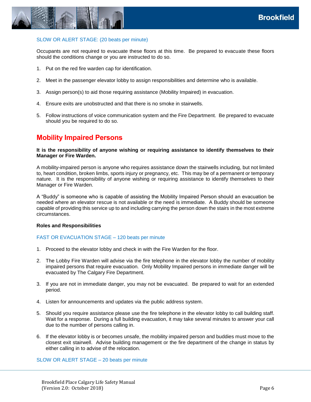

#### SLOW OR ALERT STAGE: (20 beats per minute)

Occupants are not required to evacuate these floors at this time. Be prepared to evacuate these floors should the conditions change or you are instructed to do so.

- 1. Put on the red fire warden cap for identification.
- 2. Meet in the passenger elevator lobby to assign responsibilities and determine who is available.
- 3. Assign person(s) to aid those requiring assistance (Mobility Impaired) in evacuation.
- 4. Ensure exits are unobstructed and that there is no smoke in stairwells.
- 5. Follow instructions of voice communication system and the Fire Department. Be prepared to evacuate should you be required to do so.

## <span id="page-6-0"></span>**Mobility Impaired Persons**

#### **It is the responsibility of anyone wishing or requiring assistance to identify themselves to their Manager or Fire Warden.**

A mobility-impaired person is anyone who requires assistance down the stairwells including, but not limited to, heart condition, broken limbs, sports injury or pregnancy, etc. This may be of a permanent or temporary nature. It is the responsibility of anyone wishing or requiring assistance to identify themselves to their Manager or Fire Warden.

A "Buddy" is someone who is capable of assisting the Mobility Impaired Person should an evacuation be needed where an elevator rescue is not available or the need is immediate. A Buddy should be someone capable of providing this service up to and including carrying the person down the stairs in the most extreme circumstances.

#### **Roles and Responsibilities**

#### FAST OR EVACUATION STAGE – 120 beats per minute

- 1. Proceed to the elevator lobby and check in with the Fire Warden for the floor.
- 2. The Lobby Fire Warden will advise via the fire telephone in the elevator lobby the number of mobility impaired persons that require evacuation. Only Mobility Impaired persons in immediate danger will be evacuated by The Calgary Fire Department.
- 3. If you are not in immediate danger, you may not be evacuated. Be prepared to wait for an extended period.
- 4. Listen for announcements and updates via the public address system.
- 5. Should you require assistance please use the fire telephone in the elevator lobby to call building staff. Wait for a response. During a full building evacuation, it may take several minutes to answer your call due to the number of persons calling in.
- 6. If the elevator lobby is or becomes unsafe, the mobility impaired person and buddies must move to the closest exit stairwell. Advise building management or the fire department of the change in status by either calling in to advise of the relocation.

#### SLOW OR ALERT STAGE – 20 beats per minute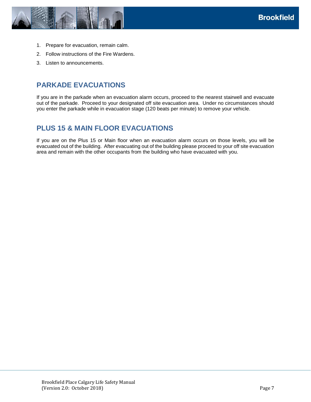



- 1. Prepare for evacuation, remain calm.
- 2. Follow instructions of the Fire Wardens.
- <span id="page-7-0"></span>3. Listen to announcements.

# **PARKADE EVACUATIONS**

If you are in the parkade when an evacuation alarm occurs, proceed to the nearest stairwell and evacuate out of the parkade. Proceed to your designated off site evacuation area. Under no circumstances should you enter the parkade while in evacuation stage (120 beats per minute) to remove your vehicle.

# <span id="page-7-1"></span>**PLUS 15 & MAIN FLOOR EVACUATIONS**

If you are on the Plus 15 or Main floor when an evacuation alarm occurs on those levels, you will be evacuated out of the building. After evacuating out of the building please proceed to your off site evacuation area and remain with the other occupants from the building who have evacuated with you.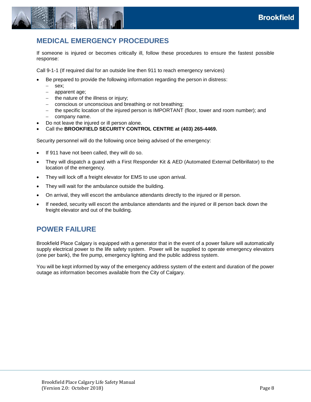

# <span id="page-8-0"></span>**MEDICAL EMERGENCY PROCEDURES**

If someone is injured or becomes critically ill, follow these procedures to ensure the fastest possible response:

Call 9-1-1 (If required dial for an outside line then 911 to reach emergency services)

- Be prepared to provide the following information regarding the person in distress:
	- sex:
	- − apparent age;
	- − the nature of the illness or injury;
	- − conscious or unconscious and breathing or not breathing;
	- − the specific location of the injured person is IMPORTANT (floor, tower and room number); and
	- − company name.
- Do not leave the injured or ill person alone.
- Call the **BROOKFIELD SECURITY CONTROL CENTRE at (403) 265-4469.**

Security personnel will do the following once being advised of the emergency:

- If 911 have not been called, they will do so.
- They will dispatch a guard with a First Responder Kit & AED (Automated External Defibrillator) to the location of the emergency.
- They will lock off a freight elevator for EMS to use upon arrival.
- They will wait for the ambulance outside the building.
- On arrival, they will escort the ambulance attendants directly to the injured or ill person.
- <span id="page-8-1"></span>If needed, security will escort the ambulance attendants and the injured or ill person back down the freight elevator and out of the building.

## **POWER FAILURE**

Brookfield Place Calgary is equipped with a generator that in the event of a power failure will automatically supply electrical power to the life safety system. Power will be supplied to operate emergency elevators (one per bank), the fire pump, emergency lighting and the public address system.

You will be kept informed by way of the emergency address system of the extent and duration of the power outage as information becomes available from the City of Calgary.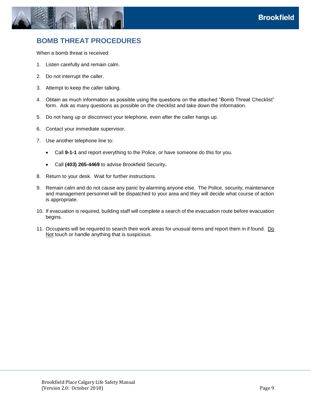

# <span id="page-9-0"></span>**BOMB THREAT PROCEDURES**

When a bomb threat is received:

- 1. Listen carefully and remain calm.
- 2. Do not interrupt the caller.
- 3. Attempt to keep the caller talking.
- 4. Obtain as much information as possible using the questions on the attached "Bomb Threat Checklist" form. Ask as many questions as possible on the checklist and take down the information.
- 5. Do not hang up or disconnect your telephone, even after the caller hangs up.
- 6. Contact your immediate supervisor.
- 7. Use another telephone line to:
	- Call **9-1-1** and report everything to the Police, or have someone do this for you.
	- Call **(403) 265-4469** to advise Brookfield Security**.**
- 8. Return to your desk. Wait for further instructions.
- 9. Remain calm and do not cause any panic by alarming anyone else. The Police, security, maintenance and management personnel will be dispatched to your area and they will decide what course of action is appropriate.
- 10. If evacuation is required, building staff will complete a search of the evacuation route before evacuation begins.
- 11. Occupants will be required to search their work areas for unusual items and report them in if found. Do Not touch or handle anything that is suspicious.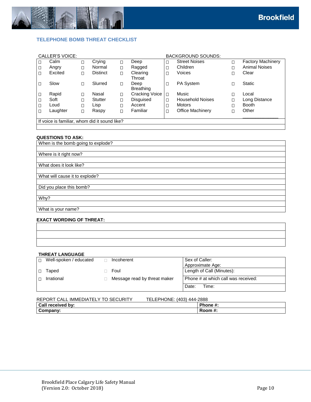

#### <span id="page-10-0"></span>**TELEPHONE BOMB THREAT CHECKLIST**

|                                               | <b>CALLER'S VOICE:</b> |        |                 |        |                          |        | <b>BACKGROUND SOUNDS:</b> |        |                          |
|-----------------------------------------------|------------------------|--------|-----------------|--------|--------------------------|--------|---------------------------|--------|--------------------------|
| $\Box$                                        | Calm                   | □      | Crying          | $\Box$ | Deep                     | $\Box$ | <b>Street Noises</b>      | □      | <b>Factory Machinery</b> |
| $\Box$                                        | Angry                  | $\Box$ | Normal          | Π      | Ragged                   | О      | Children                  |        | <b>Animal Noises</b>     |
| П                                             | Excited                | П      | <b>Distinct</b> | П      | Clearing<br>Throat       | О      | Voices                    |        | Clear                    |
| Г                                             | Slow                   | П      | Slurred         | $\Box$ | Deep<br><b>Breathing</b> | $\Box$ | <b>PA System</b>          |        | <b>Static</b>            |
| $\Box$                                        | Rapid                  | П      | Nasal           | П      | <b>Cracking Voice</b>    | $\Box$ | Music                     |        | Local                    |
| $\Box$                                        | Soft                   | П      | Stutter         | □      | <b>Disquised</b>         | $\Box$ | <b>Household Noises</b>   | Π      | Long Distance            |
| $\Box$                                        | Loud                   | $\Box$ | Lisp            | $\Box$ | Accent                   | $\Box$ | <b>Motors</b>             | $\Box$ | <b>Booth</b>             |
| Π                                             | Laughter               | Π      | Raspy           | Π      | Familiar                 | О      | Office Machinery          |        | Other                    |
| If voice is familiar, whom did it sound like? |                        |        |                 |        |                          |        |                           |        |                          |

#### **QUESTIONS TO ASK:**

| When is the bomb going to explode? |
|------------------------------------|
|                                    |
| Where is it right now?             |
|                                    |
| What does it look like?            |
|                                    |
| What will cause it to explode?     |
|                                    |
| Did you place this bomb?           |
|                                    |
| Why?                               |
|                                    |
| What is your name?                 |
|                                    |

#### **EXACT WORDING OF THREAT:**

#### **THREAT LANGUAGE**

| П. | Well-spoken / educated | Incoherent                   | Sex of Caller:                      |
|----|------------------------|------------------------------|-------------------------------------|
|    |                        |                              | Approximate Age:                    |
|    | Taped                  | Foul                         | Length of Call (Minutes):           |
|    | Irrational             | Message read by threat maker | Phone # at which call was received: |
|    |                        |                              | Date:<br>Time:                      |

| REPORT CALL IMMEDIATELY TO SECURITY | TELEPHONE: (403) 444-2888 |
|-------------------------------------|---------------------------|
| Call received by:                   | Phone #:                  |
| Company:                            | Room #:                   |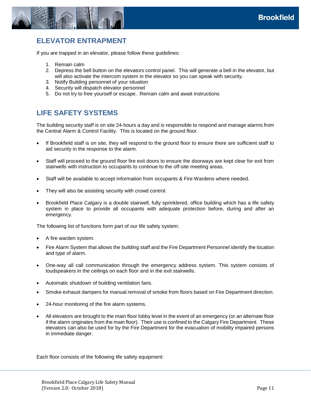

# <span id="page-11-0"></span>**ELEVATOR ENTRAPMENT**

If you are trapped in an elevator, please follow these guidelines:

- 1. Remain calm
- 2. Depress the bell button on the elevators control panel. This will generate a bell in the elevator, but will also activate the intercom system in the elevator so you can speak with security.
- 3. Notify Building personnel of your situation
- 4. Security will dispatch elevator personnel
- <span id="page-11-1"></span>5. Do not try to free yourself or escape. Remain calm and await instructions

# **LIFE SAFETY SYSTEMS**

The building security staff is on site 24-hours a day and is responsible to respond and manage alarms from the Central Alarm & Control Facility. This is located on the ground floor.

- If Brookfield staff is on site, they will respond to the ground floor to ensure there are sufficient staff to aid security in the response to the alarm.
- Staff will proceed to the ground floor fire exit doors to ensure the doorways are kept clear for exit from stairwells with instruction to occupants to continue to the off-site meeting areas.
- Staff will be available to accept information from occupants & Fire Wardens where needed.
- They will also be assisting security with crowd control.
- Brookfield Place Calgary is a double stairwell, fully sprinklered, office building which has a life safety system in place to provide all occupants with adequate protection before, during and after an emergency.

The following list of functions form part of our life safety system:

- A fire warden system.
- Fire Alarm System that allows the building staff and the Fire Department Personnel identify the location and type of alarm.
- One-way all call communication through the emergency address system. This system consists of loudspeakers in the ceilings on each floor and in the exit stairwells.
- Automatic shutdown of building ventilation fans.
- Smoke exhaust dampers for manual removal of smoke from floors based on Fire Department direction.
- 24-hour monitoring of the fire alarm systems.
- All elevators are brought to the main floor lobby level in the event of an emergency (or an alternate floor if the alarm originates from the main floor). Their use is confined to the Calgary Fire Department. These elevators can also be used for by the Fire Department for the evacuation of mobility impaired persons in immediate danger.

Each floor consists of the following life safety equipment: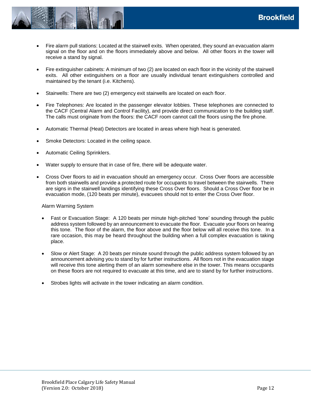

- Fire alarm pull stations: Located at the stairwell exits. When operated, they sound an evacuation alarm signal on the floor and on the floors immediately above and below. All other floors in the tower will receive a stand by signal.
- Fire extinguisher cabinets: A minimum of two (2) are located on each floor in the vicinity of the stairwell exits. All other extinguishers on a floor are usually individual tenant extinguishers controlled and maintained by the tenant (i.e. Kitchens).
- Stairwells: There are two (2) emergency exit stairwells are located on each floor.
- Fire Telephones: Are located in the passenger elevator lobbies. These telephones are connected to the CACF (Central Alarm and Control Facility), and provide direct communication to the building staff. The calls must originate from the floors: the CACF room cannot call the floors using the fire phone.
- Automatic Thermal (Heat) Detectors are located in areas where high heat is generated.
- Smoke Detectors: Located in the ceiling space.
- Automatic Ceiling Sprinklers.
- Water supply to ensure that in case of fire, there will be adequate water.
- Cross Over floors to aid in evacuation should an emergency occur. Cross Over floors are accessible from both stairwells and provide a protected route for occupants to travel between the stairwells. There are signs in the stairwell landings identifying these Cross Over floors. Should a Cross Over floor be in evacuation mode, (120 beats per minute), evacuees should not to enter the Cross Over floor.

#### Alarm Warning System

- Fast or Evacuation Stage: A 120 beats per minute high-pitched 'tone' sounding through the public address system followed by an announcement to evacuate the floor. Evacuate your floors on hearing this tone. The floor of the alarm, the floor above and the floor below will all receive this tone. In a rare occasion, this may be heard throughout the building when a full complex evacuation is taking place.
- Slow or Alert Stage: A 20 beats per minute sound through the public address system followed by an announcement advising you to stand by for further instructions. All floors not in the evacuation stage will receive this tone alerting them of an alarm somewhere else in the tower. This means occupants on these floors are not required to evacuate at this time, and are to stand by for further instructions.
- Strobes lights will activate in the tower indicating an alarm condition.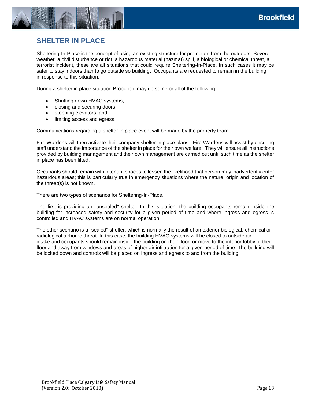

# <span id="page-13-0"></span>**SHELTER IN PLACE**

Sheltering-In-Place is the concept of using an existing structure for protection from the outdoors. Severe weather, a civil disturbance or riot, a hazardous material (hazmat) spill, a biological or chemical threat, a terrorist incident, these are all situations that could require Sheltering-In-Place. In such cases it may be safer to stay indoors than to go outside so building. Occupants are requested to remain in the building in response to this situation.

During a shelter in place situation Brookfield may do some or all of the following:

- Shutting down HVAC systems,
- closing and securing doors,
- stopping elevators, and
- limiting access and egress.

Communications regarding a shelter in place event will be made by the property team.

Fire Wardens will then activate their company shelter in place plans. Fire Wardens will assist by ensuring staff understand the importance of the shelter in place for their own welfare. They will ensure all instructions provided by building management and their own management are carried out until such time as the shelter in place has been lifted.

Occupants should remain within tenant spaces to lessen the likelihood that person may inadvertently enter hazardous areas; this is particularly true in emergency situations where the nature, origin and location of the threat(s) is not known.

There are two types of scenarios for Sheltering-In-Place.

The first is providing an "unsealed" shelter. In this situation, the building occupants remain inside the building for increased safety and security for a given period of time and where ingress and egress is controlled and HVAC systems are on normal operation.

The other scenario is a "sealed" shelter, which is normally the result of an exterior biological, chemical or radiological airborne threat. In this case, the building HVAC systems will be closed to outside air intake and occupants should remain inside the building on their floor, or move to the interior lobby of their floor and away from windows and areas of higher air infiltration for a given period of time. The building will be locked down and controls will be placed on ingress and egress to and from the building.